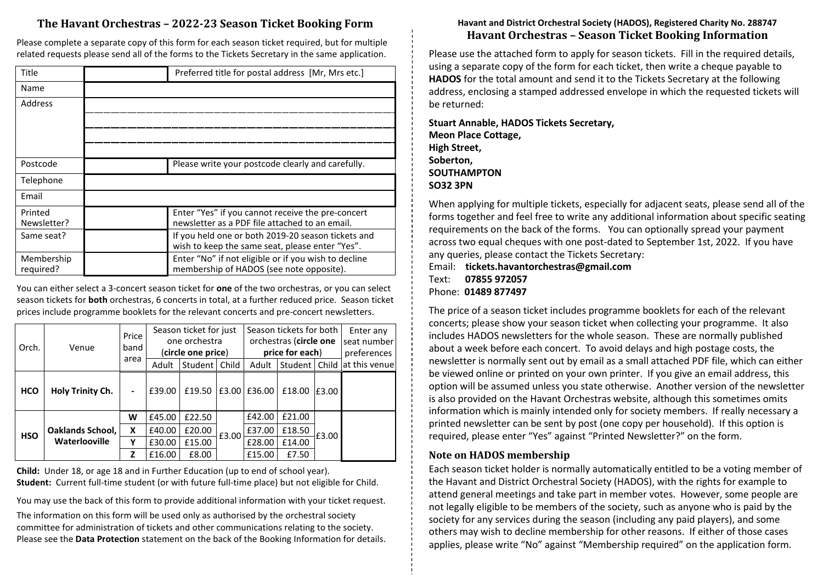# **The Havant Orchestras – 2022-23 Season Ticket Booking Form**

Please complete a separate copy of this form for each season ticket required, but for multiple related requests please send all of the forms to the Tickets Secretary in the same application.

| Title                   | Preferred title for postal address [Mr, Mrs etc.]                                                     |  |  |  |  |
|-------------------------|-------------------------------------------------------------------------------------------------------|--|--|--|--|
| Name                    |                                                                                                       |  |  |  |  |
| Address                 |                                                                                                       |  |  |  |  |
|                         |                                                                                                       |  |  |  |  |
|                         |                                                                                                       |  |  |  |  |
|                         |                                                                                                       |  |  |  |  |
| Postcode                | Please write your postcode clearly and carefully.                                                     |  |  |  |  |
| Telephone               |                                                                                                       |  |  |  |  |
| Email                   |                                                                                                       |  |  |  |  |
| Printed<br>Newsletter?  | Enter "Yes" if you cannot receive the pre-concert<br>newsletter as a PDF file attached to an email.   |  |  |  |  |
| Same seat?              | If you held one or both 2019-20 season tickets and<br>wish to keep the same seat, please enter "Yes". |  |  |  |  |
| Membership<br>required? | Enter "No" if not eligible or if you wish to decline<br>membership of HADOS (see note opposite).      |  |  |  |  |

You can either select a 3-concert season ticket for **one** of the two orchestras, or you can select season tickets for **both** orchestras, 6 concerts in total, at a further reduced price. Season ticket prices include programme booklets for the relevant concerts and pre-concert newsletters.

| Orch.      | Venue                                           | Price<br>band<br>area | Season ticket for just<br>one orchestra<br>(circle one price) |         |       | Season tickets for both<br>orchestras (circle one<br>price for each) |                 |        | Enter any<br>seat number<br>preferences |
|------------|-------------------------------------------------|-----------------------|---------------------------------------------------------------|---------|-------|----------------------------------------------------------------------|-----------------|--------|-----------------------------------------|
|            |                                                 |                       | Adult                                                         | Student | Child | Adult                                                                | Student   Child |        | lat this venue                          |
| <b>HCO</b> | <b>Holy Trinity Ch.</b>                         |                       | £39.00                                                        | £19.50  | £3.00 | £36.00                                                               | £18.00          | £3.00  |                                         |
| <b>HSO</b> | <b>Oaklands School,</b><br><b>Waterlooville</b> | W                     | £45.00                                                        | £22.50  |       | £42.00                                                               | £21.00          |        |                                         |
|            |                                                 | x                     | £40.00                                                        | £20.00  | £3.00 | £37.00                                                               | £18.50          | £3.00  |                                         |
|            |                                                 | Υ                     | £30.00                                                        | £15.00  |       |                                                                      | £28.00          | £14.00 |                                         |
|            |                                                 | Z                     | £16.00                                                        | £8.00   |       | £15.00                                                               | £7.50           |        |                                         |

**Child:** Under 18, or age 18 and in Further Education (up to end of school year). **Student:** Current full-time student (or with future full-time place) but not eligible for Child.

You may use the back of this form to provide additional information with your ticket request.

The information on this form will be used only as authorised by the orchestral society committee for administration of tickets and other communications relating to the society. Please see the **Data Protection** statement on the back of the Booking Information for details.

## **Havant and District Orchestral Society (HADOS), Registered Charity No. 288747 Havant Orchestras – Season Ticket Booking Information**

Please use the attached form to apply for season tickets. Fill in the required details, using a separate copy of the form for each ticket, then write a cheque payable to **HADOS** for the total amount and send it to the Tickets Secretary at the following address, enclosing a stamped addressed envelope in which the requested tickets will be returned:

**Stuart Annable, HADOS Tickets Secretary, Meon Place Cottage, High Street, Soberton, SOUTHAMPTON SO32 3PN**

When applying for multiple tickets, especially for adjacent seats, please send all of the forms together and feel free to write any additional information about specific seating requirements on the back of the forms. You can optionally spread your payment across two equal cheques with one post-dated to September 1st, 2022. If you have any queries, please contact the Tickets Secretary:

Email: **tickets.havantorchestras@gmail.com**  Text: **07855 972057** Phone: **01489 877497**

The price of a season ticket includes programme booklets for each of the relevant concerts; please show your season ticket when collecting your programme. It also includes HADOS newsletters for the whole season. These are normally published about a week before each concert. To avoid delays and high postage costs, the newsletter is normally sent out by email as a small attached PDF file, which can either be viewed online or printed on your own printer. If you give an email address, this option will be assumed unless you state otherwise. Another version of the newsletter is also provided on the Havant Orchestras website, although this sometimes omits information which is mainly intended only for society members. If really necessary a printed newsletter can be sent by post (one copy per household). If this option is required, please enter "Yes" against "Printed Newsletter?" on the form.

# **Note on HADOS membership**

Each season ticket holder is normally automatically entitled to be a voting member of the Havant and District Orchestral Society (HADOS), with the rights for example to attend general meetings and take part in member votes. However, some people are not legally eligible to be members of the society, such as anyone who is paid by the society for any services during the season (including any paid players), and some others may wish to decline membership for other reasons. If either of those cases applies, please write "No" against "Membership required" on the application form.